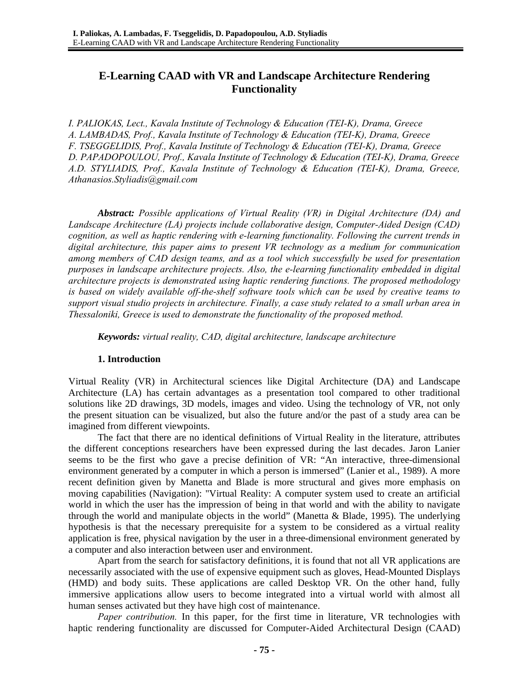# **E-Learning CAAD with VR and Landscape Architecture Rendering Functionality**

*I. PALIOKAS, Lect., Kavala Institute of Technology & Education (TEI-K), Drama, Greece A. LAMBADAS, Prof., Kavala Institute of Technology & Education (TEI-K), Drama, Greece F. TSEGGELIDIS, Prof., Kavala Institute of Technology & Education (TEI-K), Drama, Greece D. PAPADOPOULOU, Prof., Kavala Institute of Technology & Education (TEI-K), Drama, Greece A.D. STYLIADIS, Prof., Kavala Institute of Technology & Education (TEI-K), Drama, Greece, Athanasios.Styliadis@gmail.com* 

*Abstract: Possible applications of Virtual Reality (VR) in Digital Architecture (DA) and Landscape Architecture (LA) projects include collaborative design, Computer-Aided Design (CAD) cognition, as well as haptic rendering with e-learning functionality. Following the current trends in digital architecture, this paper aims to present VR technology as a medium for communication among members of CAD design teams, and as a tool which successfully be used for presentation purposes in landscape architecture projects. Also, the e-learning functionality embedded in digital architecture projects is demonstrated using haptic rendering functions. The proposed methodology is based on widely available off-the-shelf software tools which can be used by creative teams to support visual studio projects in architecture. Finally, a case study related to a small urban area in Thessaloniki, Greece is used to demonstrate the functionality of the proposed method.* 

*Keywords: virtual reality, CAD, digital architecture, landscape architecture* 

### **1. Introduction**

Virtual Reality (VR) in Architectural sciences like Digital Architecture (DA) and Landscape Architecture (LA) has certain advantages as a presentation tool compared to other traditional solutions like 2D drawings, 3D models, images and video. Using the technology of VR, not only the present situation can be visualized, but also the future and/or the past of a study area can be imagined from different viewpoints.

The fact that there are no identical definitions of Virtual Reality in the literature, attributes the different conceptions researchers have been expressed during the last decades. Jaron Lanier seems to be the first who gave a precise definition of VR: "An interactive, three-dimensional environment generated by a computer in which a person is immersed" (Lanier et al., 1989). A more recent definition given by Manetta and Blade is more structural and gives more emphasis on moving capabilities (Navigation): "Virtual Reality: A computer system used to create an artificial world in which the user has the impression of being in that world and with the ability to navigate through the world and manipulate objects in the world" (Manetta & Blade, 1995). The underlying hypothesis is that the necessary prerequisite for a system to be considered as a virtual reality application is free, physical navigation by the user in a three-dimensional environment generated by a computer and also interaction between user and environment.

Apart from the search for satisfactory definitions, it is found that not all VR applications are necessarily associated with the use of expensive equipment such as gloves, Head-Mounted Displays (HMD) and body suits. These applications are called Desktop VR. On the other hand, fully immersive applications allow users to become integrated into a virtual world with almost all human senses activated but they have high cost of maintenance.

*Paper contribution.* In this paper, for the first time in literature, VR technologies with haptic rendering functionality are discussed for Computer-Aided Architectural Design (CAAD)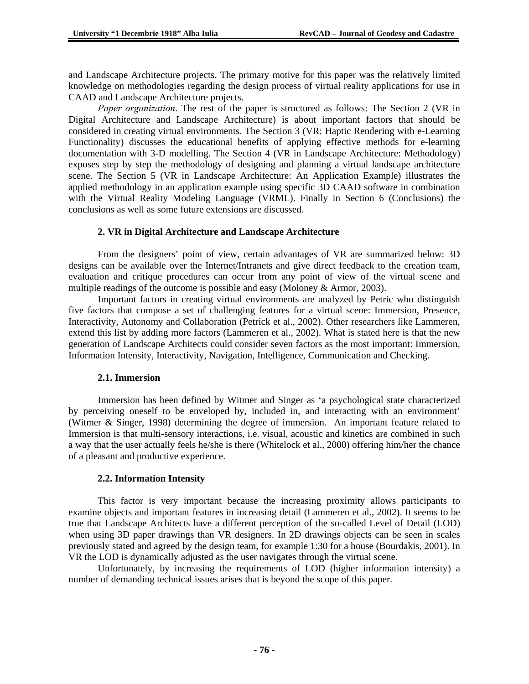and Landscape Architecture projects. The primary motive for this paper was the relatively limited knowledge on methodologies regarding the design process of virtual reality applications for use in CAAD and Landscape Architecture projects.

*Paper organization*. The rest of the paper is structured as follows: The Section 2 (VR in Digital Architecture and Landscape Architecture) is about important factors that should be considered in creating virtual environments. The Section 3 (VR: Haptic Rendering with e-Learning Functionality) discusses the educational benefits of applying effective methods for e-learning documentation with 3-D modelling. The Section 4 (VR in Landscape Architecture: Methodology) exposes step by step the methodology of designing and planning a virtual landscape architecture scene. The Section 5 (VR in Landscape Architecture: An Application Example) illustrates the applied methodology in an application example using specific 3D CAAD software in combination with the Virtual Reality Modeling Language (VRML). Finally in Section 6 (Conclusions) the conclusions as well as some future extensions are discussed.

#### **2. VR in Digital Architecture and Landscape Architecture**

From the designers' point of view, certain advantages of VR are summarized below: 3D designs can be available over the Internet/Intranets and give direct feedback to the creation team, evaluation and critique procedures can occur from any point of view of the virtual scene and multiple readings of the outcome is possible and easy (Moloney & Armor, 2003).

Important factors in creating virtual environments are analyzed by Petric who distinguish five factors that compose a set of challenging features for a virtual scene: Immersion, Presence, Interactivity, Autonomy and Collaboration (Petrick et al., 2002). Other researchers like Lammeren, extend this list by adding more factors (Lammeren et al., 2002). What is stated here is that the new generation of Landscape Architects could consider seven factors as the most important: Immersion, Information Intensity, Interactivity, Navigation, Intelligence, Communication and Checking.

#### **2.1. Immersion**

Immersion has been defined by Witmer and Singer as 'a psychological state characterized by perceiving oneself to be enveloped by, included in, and interacting with an environment' (Witmer & Singer, 1998) determining the degree of immersion. An important feature related to Immersion is that multi-sensory interactions, i.e. visual, acoustic and kinetics are combined in such a way that the user actually feels he/she is there (Whitelock et al., 2000) offering him/her the chance of a pleasant and productive experience.

#### **2.2. Information Intensity**

This factor is very important because the increasing proximity allows participants to examine objects and important features in increasing detail (Lammeren et al., 2002). It seems to be true that Landscape Architects have a different perception of the so-called Level of Detail (LOD) when using 3D paper drawings than VR designers. In 2D drawings objects can be seen in scales previously stated and agreed by the design team, for example 1:30 for a house (Bourdakis, 2001). In VR the LOD is dynamically adjusted as the user navigates through the virtual scene.

Unfortunately, by increasing the requirements of LOD (higher information intensity) a number of demanding technical issues arises that is beyond the scope of this paper.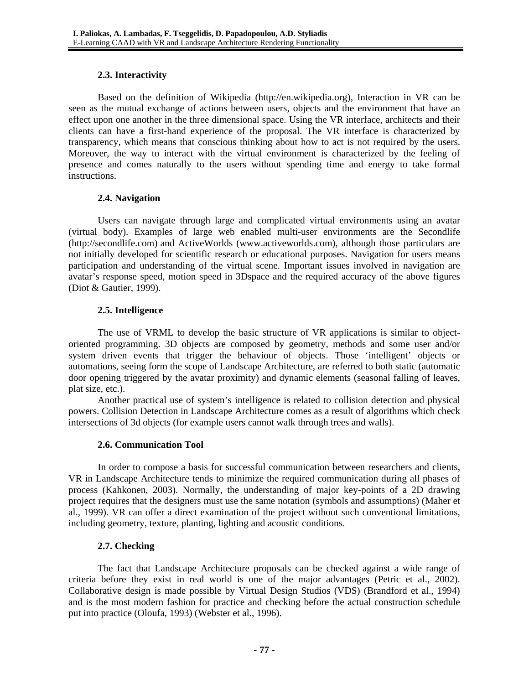### **2.3. Interactivity**

Based on the definition of Wikipedia (http://en.wikipedia.org), Interaction in VR can be seen as the mutual exchange of actions between users, objects and the environment that have an effect upon one another in the three dimensional space. Using the VR interface, architects and their clients can have a first-hand experience of the proposal. The VR interface is characterized by transparency, which means that conscious thinking about how to act is not required by the users. Moreover, the way to interact with the virtual environment is characterized by the feeling of presence and comes naturally to the users without spending time and energy to take formal instructions.

### **2.4. Navigation**

Users can navigate through large and complicated virtual environments using an avatar (virtual body). Examples of large web enabled multi-user environments are the Secondlife (http://secondlife.com) and ActiveWorlds (www.activeworlds.com), although those particulars are not initially developed for scientific research or educational purposes. Navigation for users means participation and understanding of the virtual scene. Important issues involved in navigation are avatar's response speed, motion speed in 3Dspace and the required accuracy of the above figures (Diot & Gautier, 1999).

### **2.5. Intelligence**

The use of VRML to develop the basic structure of VR applications is similar to objectoriented programming. 3D objects are composed by geometry, methods and some user and/or system driven events that trigger the behaviour of objects. Those 'intelligent' objects or automations, seeing form the scope of Landscape Architecture, are referred to both static (automatic door opening triggered by the avatar proximity) and dynamic elements (seasonal falling of leaves, plat size, etc.).

Another practical use of system's intelligence is related to collision detection and physical powers. Collision Detection in Landscape Architecture comes as a result of algorithms which check intersections of 3d objects (for example users cannot walk through trees and walls).

## **2.6. Communication Tool**

In order to compose a basis for successful communication between researchers and clients, VR in Landscape Architecture tends to minimize the required communication during all phases of process (Kahkonen, 2003). Normally, the understanding of major key-points of a 2D drawing project requires that the designers must use the same notation (symbols and assumptions) (Maher et al., 1999). VR can offer a direct examination of the project without such conventional limitations, including geometry, texture, planting, lighting and acoustic conditions.

## **2.7. Checking**

The fact that Landscape Architecture proposals can be checked against a wide range of criteria before they exist in real world is one of the major advantages (Petric et al., 2002). Collaborative design is made possible by Virtual Design Studios (VDS) (Brandford et al., 1994) and is the most modern fashion for practice and checking before the actual construction schedule put into practice (Oloufa, 1993) (Webster et al., 1996).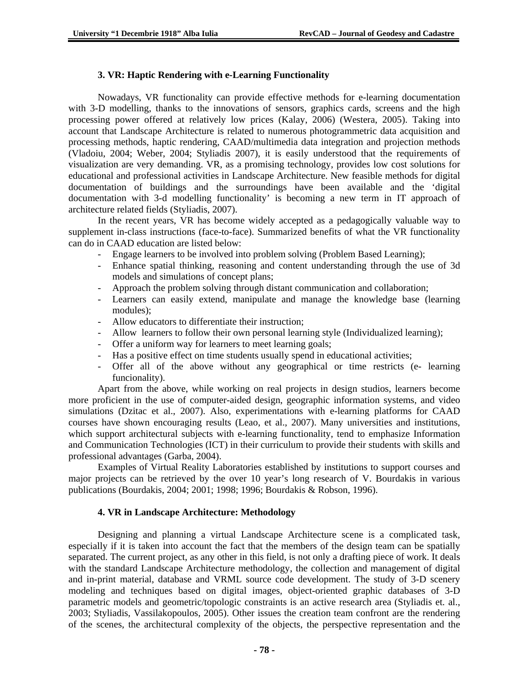### **3. VR: Haptic Rendering with e-Learning Functionality**

Nowadays, VR functionality can provide effective methods for e-learning documentation with 3-D modelling, thanks to the innovations of sensors, graphics cards, screens and the high processing power offered at relatively low prices (Kalay, 2006) (Westera, 2005). Taking into account that Landscape Architecture is related to numerous photogrammetric data acquisition and processing methods, haptic rendering, CAAD/multimedia data integration and projection methods (Vladoiu, 2004; Weber, 2004; Styliadis 2007), it is easily understood that the requirements of visualization are very demanding. VR, as a promising technology, provides low cost solutions for educational and professional activities in Landscape Architecture. New feasible methods for digital documentation of buildings and the surroundings have been available and the 'digital documentation with 3-d modelling functionality' is becoming a new term in IT approach of architecture related fields (Styliadis, 2007).

In the recent years, VR has become widely accepted as a pedagogically valuable way to supplement in-class instructions (face-to-face). Summarized benefits of what the VR functionality can do in CAAD education are listed below:

- Engage learners to be involved into problem solving (Problem Based Learning);
- Enhance spatial thinking, reasoning and content understanding through the use of 3d models and simulations of concept plans;
- Approach the problem solving through distant communication and collaboration;
- Learners can easily extend, manipulate and manage the knowledge base (learning modules);
- Allow educators to differentiate their instruction;
- Allow learners to follow their own personal learning style (Individualized learning);
- Offer a uniform way for learners to meet learning goals;
- Has a positive effect on time students usually spend in educational activities;
- Offer all of the above without any geographical or time restricts (e- learning funcionality).

Apart from the above, while working on real projects in design studios, learners become more proficient in the use of computer-aided design, geographic information systems, and video simulations (Dzitac et al., 2007). Also, experimentations with e-learning platforms for CAAD courses have shown encouraging results (Leao, et al., 2007). Many universities and institutions, which support architectural subjects with e-learning functionality, tend to emphasize Information and Communication Technologies (ICT) in their curriculum to provide their students with skills and professional advantages (Garba, 2004).

Examples of Virtual Reality Laboratories established by institutions to support courses and major projects can be retrieved by the over 10 year's long research of V. Bourdakis in various publications (Bourdakis, 2004; 2001; 1998; 1996; Bourdakis & Robson, 1996).

### **4. VR in Landscape Architecture: Methodology**

Designing and planning a virtual Landscape Architecture scene is a complicated task, especially if it is taken into account the fact that the members of the design team can be spatially separated. The current project, as any other in this field, is not only a drafting piece of work. It deals with the standard Landscape Architecture methodology, the collection and management of digital and in-print material, database and VRML source code development. The study of 3-D scenery modeling and techniques based on digital images, object-oriented graphic databases of 3-D parametric models and geometric/topologic constraints is an active research area (Styliadis et. al., 2003; Styliadis, Vassilakopoulos, 2005). Other issues the creation team confront are the rendering of the scenes, the architectural complexity of the objects, the perspective representation and the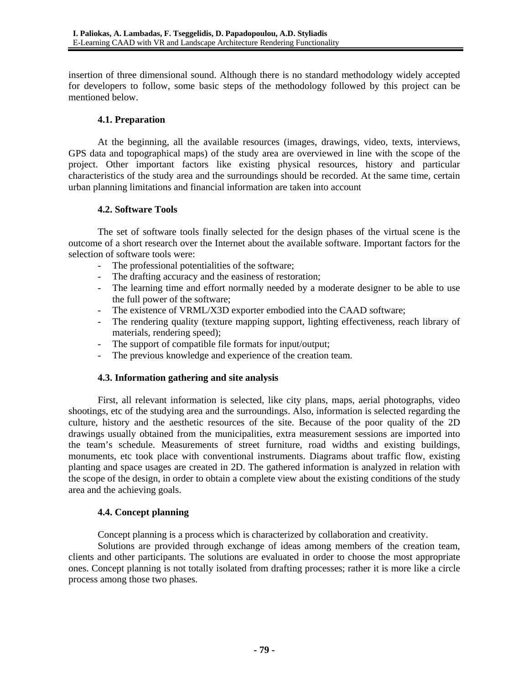insertion of three dimensional sound. Although there is no standard methodology widely accepted for developers to follow, some basic steps of the methodology followed by this project can be mentioned below.

### **4.1. Preparation**

At the beginning, all the available resources (images, drawings, video, texts, interviews, GPS data and topographical maps) of the study area are overviewed in line with the scope of the project. Other important factors like existing physical resources, history and particular characteristics of the study area and the surroundings should be recorded. At the same time, certain urban planning limitations and financial information are taken into account

### **4.2. Software Tools**

The set of software tools finally selected for the design phases of the virtual scene is the outcome of a short research over the Internet about the available software. Important factors for the selection of software tools were:

- The professional potentialities of the software;
- The drafting accuracy and the easiness of restoration;
- The learning time and effort normally needed by a moderate designer to be able to use the full power of the software;
- The existence of VRML/X3D exporter embodied into the CAAD software;
- The rendering quality (texture mapping support, lighting effectiveness, reach library of materials, rendering speed);
- The support of compatible file formats for input/output;
- The previous knowledge and experience of the creation team.

## **4.3. Information gathering and site analysis**

First, all relevant information is selected, like city plans, maps, aerial photographs, video shootings, etc of the studying area and the surroundings. Also, information is selected regarding the culture, history and the aesthetic resources of the site. Because of the poor quality of the 2D drawings usually obtained from the municipalities, extra measurement sessions are imported into the team's schedule. Measurements of street furniture, road widths and existing buildings, monuments, etc took place with conventional instruments. Diagrams about traffic flow, existing planting and space usages are created in 2D. The gathered information is analyzed in relation with the scope of the design, in order to obtain a complete view about the existing conditions of the study area and the achieving goals.

## **4.4. Concept planning**

Concept planning is a process which is characterized by collaboration and creativity.

Solutions are provided through exchange of ideas among members of the creation team, clients and other participants. The solutions are evaluated in order to choose the most appropriate ones. Concept planning is not totally isolated from drafting processes; rather it is more like a circle process among those two phases.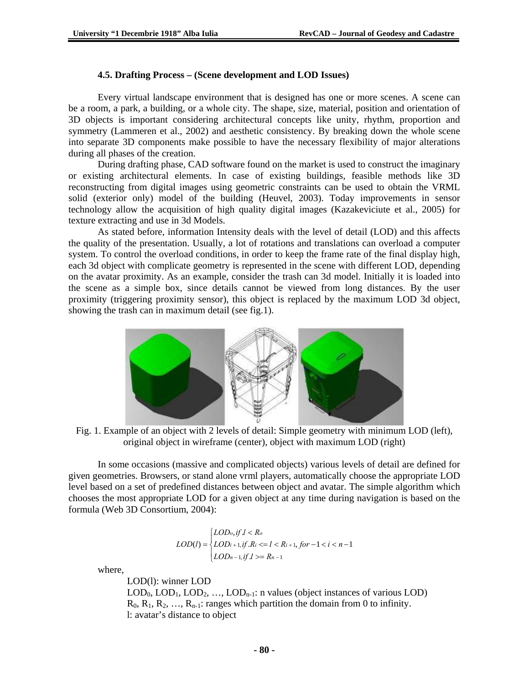#### **4.5. Drafting Process – (Scene development and LOD Issues)**

Every virtual landscape environment that is designed has one or more scenes. A scene can be a room, a park, a building, or a whole city. The shape, size, material, position and orientation of 3D objects is important considering architectural concepts like unity, rhythm, proportion and symmetry (Lammeren et al., 2002) and aesthetic consistency. By breaking down the whole scene into separate 3D components make possible to have the necessary flexibility of major alterations during all phases of the creation.

During drafting phase, CAD software found on the market is used to construct the imaginary or existing architectural elements. In case of existing buildings, feasible methods like 3D reconstructing from digital images using geometric constraints can be used to obtain the VRML solid (exterior only) model of the building (Heuvel, 2003). Today improvements in sensor technology allow the acquisition of high quality digital images (Kazakeviciute et al., 2005) for texture extracting and use in 3d Models.

As stated before, information Intensity deals with the level of detail (LOD) and this affects the quality of the presentation. Usually, a lot of rotations and translations can overload a computer system. To control the overload conditions, in order to keep the frame rate of the final display high, each 3d object with complicate geometry is represented in the scene with different LOD, depending on the avatar proximity. As an example, consider the trash can 3d model. Initially it is loaded into the scene as a simple box, since details cannot be viewed from long distances. By the user proximity (triggering proximity sensor), this object is replaced by the maximum LOD 3d object, showing the trash can in maximum detail (see fig.1).



Fig. 1. Example of an object with 2 levels of detail: Simple geometry with minimum LOD (left), original object in wireframe (center), object with maximum LOD (right)

In some occasions (massive and complicated objects) various levels of detail are defined for given geometries. Browsers, or stand alone vrml players, automatically choose the appropriate LOD level based on a set of predefined distances between object and avatar. The simple algorithm which chooses the most appropriate LOD for a given object at any time during navigation is based on the formula (Web 3D Consortium, 2004):

$$
LOD(l) = \begin{cases} LOD_0, if \ l < R_o \\ LOD_{l+1}, if \ R_i <= l < R_{i+1}, for -1 < i < n-1 \\ LOD_{n-1}, if \ l >= R_{n-1} \end{cases}
$$

where,

LOD(l): winner LOD

 $\text{LOD}_0, \text{LOD}_1, \text{LOD}_2, \ldots, \text{LOD}_{n-1}$ : n values (object instances of various LOD)  $R_0, R_1, R_2, \ldots, R_{n-1}$ : ranges which partition the domain from 0 to infinity. l: avatar's distance to object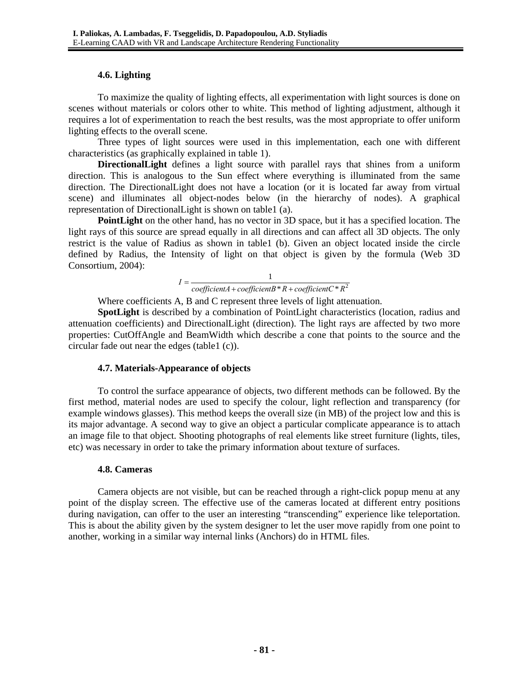### **4.6. Lighting**

To maximize the quality of lighting effects, all experimentation with light sources is done on scenes without materials or colors other to white. This method of lighting adjustment, although it requires a lot of experimentation to reach the best results, was the most appropriate to offer uniform lighting effects to the overall scene.

Three types of light sources were used in this implementation, each one with different characteristics (as graphically explained in table 1).

**DirectionalLight** defines a light source with parallel rays that shines from a uniform direction. This is analogous to the Sun effect where everything is illuminated from the same direction. The DirectionalLight does not have a location (or it is located far away from virtual scene) and illuminates all object-nodes below (in the hierarchy of nodes). A graphical representation of DirectionalLight is shown on table1 (a).

**PointLight** on the other hand, has no vector in 3D space, but it has a specified location. The light rays of this source are spread equally in all directions and can affect all 3D objects. The only restrict is the value of Radius as shown in table1 (b). Given an object located inside the circle defined by Radius, the Intensity of light on that object is given by the formula (Web 3D Consortium, 2004):

$$
I = \frac{1}{\text{coefficient}A + \text{coefficient}B * R + \text{coefficient}C * R^2}
$$

Where coefficients A, B and C represent three levels of light attenuation.

**SpotLight** is described by a combination of PointLight characteristics (location, radius and attenuation coefficients) and DirectionalLight (direction). The light rays are affected by two more properties: CutOffAngle and BeamWidth which describe a cone that points to the source and the circular fade out near the edges (table1 (c)).

### **4.7. Materials-Appearance of objects**

To control the surface appearance of objects, two different methods can be followed. By the first method, material nodes are used to specify the colour, light reflection and transparency (for example windows glasses). This method keeps the overall size (in MB) of the project low and this is its major advantage. A second way to give an object a particular complicate appearance is to attach an image file to that object. Shooting photographs of real elements like street furniture (lights, tiles, etc) was necessary in order to take the primary information about texture of surfaces.

### **4.8. Cameras**

Camera objects are not visible, but can be reached through a right-click popup menu at any point of the display screen. The effective use of the cameras located at different entry positions during navigation, can offer to the user an interesting "transcending" experience like teleportation. This is about the ability given by the system designer to let the user move rapidly from one point to another, working in a similar way internal links (Anchors) do in HTML files.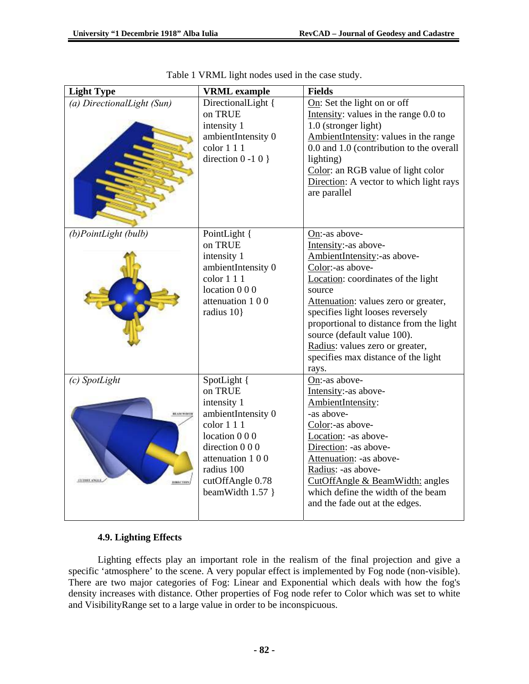| <b>Light Type</b>                                                          | <b>VRML</b> example                                                                                                                                                                      | <b>Fields</b><br>On: Set the light on or off<br>Intensity: values in the range 0.0 to<br>1.0 (stronger light)<br>AmbientIntensity: values in the range<br>0.0 and 1.0 (contribution to the overall<br>lighting)<br>Color: an RGB value of light color<br>Direction: A vector to which light rays<br>are parallel                                                                     |  |  |
|----------------------------------------------------------------------------|------------------------------------------------------------------------------------------------------------------------------------------------------------------------------------------|--------------------------------------------------------------------------------------------------------------------------------------------------------------------------------------------------------------------------------------------------------------------------------------------------------------------------------------------------------------------------------------|--|--|
| (a) DirectionalLight (Sun)                                                 | DirectionalLight {<br>on TRUE<br>intensity 1<br>ambientIntensity 0<br>color 1 1 1<br>direction $0 - 10$ }                                                                                |                                                                                                                                                                                                                                                                                                                                                                                      |  |  |
| (b)PointLight (bulb)                                                       | PointLight {<br>on TRUE<br>intensity 1<br>ambientIntensity 0<br>color 1 1 1<br>location 0 0 0<br>attenuation 100<br>radius 10}                                                           | $On:$ -as above-<br>Intensity:-as above-<br>AmbientIntensity:-as above-<br>Color:-as above-<br>Location: coordinates of the light<br>source<br>Attenuation: values zero or greater,<br>specifies light looses reversely<br>proportional to distance from the light<br>source (default value 100).<br>Radius: values zero or greater,<br>specifies max distance of the light<br>rays. |  |  |
| (c) SpotLight<br><b>BEAM WARTH</b><br><b>COURT ANGLE</b><br><b>BBLCTRY</b> | SpotLight {<br>on TRUE<br>intensity 1<br>ambientIntensity 0<br>color 1 1 1<br>location 0 0 0<br>direction 0 0 0<br>attenuation 100<br>radius 100<br>cutOffAngle 0.78<br>beamWidth 1.57 } | On:-as above-<br>Intensity:-as above-<br>AmbientIntensity:<br>-as above-<br>Color:-as above-<br>Location: -as above-<br>Direction: -as above-<br>Attenuation: -as above-<br>Radius: -as above-<br>CutOffAngle & BeamWidth: angles<br>which define the width of the beam<br>and the fade out at the edges.                                                                            |  |  |

| Table 1 VRML light nodes used in the case study. |  |  |  |  |
|--------------------------------------------------|--|--|--|--|
|                                                  |  |  |  |  |

## **4.9. Lighting Effects**

Lighting effects play an important role in the realism of the final projection and give a specific 'atmosphere' to the scene. A very popular effect is implemented by Fog node (non-visible). There are two major categories of Fog: Linear and Exponential which deals with how the fog's density increases with distance. Other properties of Fog node refer to Color which was set to white and VisibilityRange set to a large value in order to be inconspicuous.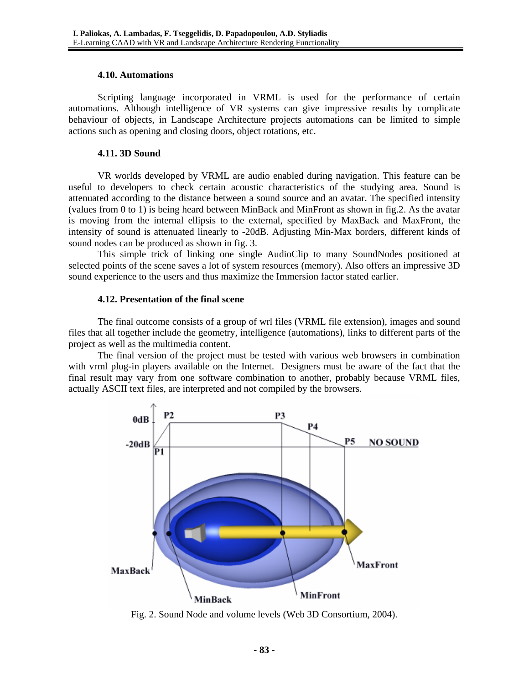#### **4.10. Automations**

Scripting language incorporated in VRML is used for the performance of certain automations. Although intelligence of VR systems can give impressive results by complicate behaviour of objects, in Landscape Architecture projects automations can be limited to simple actions such as opening and closing doors, object rotations, etc.

#### **4.11. 3D Sound**

VR worlds developed by VRML are audio enabled during navigation. This feature can be useful to developers to check certain acoustic characteristics of the studying area. Sound is attenuated according to the distance between a sound source and an avatar. The specified intensity (values from 0 to 1) is being heard between MinBack and MinFront as shown in fig.2. As the avatar is moving from the internal ellipsis to the external, specified by MaxBack and MaxFront, the intensity of sound is attenuated linearly to -20dB. Adjusting Min-Max borders, different kinds of sound nodes can be produced as shown in fig. 3.

This simple trick of linking one single AudioClip to many SoundNodes positioned at selected points of the scene saves a lot of system resources (memory). Also offers an impressive 3D sound experience to the users and thus maximize the Immersion factor stated earlier.

### **4.12. Presentation of the final scene**

The final outcome consists of a group of wrl files (VRML file extension), images and sound files that all together include the geometry, intelligence (automations), links to different parts of the project as well as the multimedia content.

The final version of the project must be tested with various web browsers in combination with vrml plug-in players available on the Internet. Designers must be aware of the fact that the final result may vary from one software combination to another, probably because VRML files, actually ASCII text files, are interpreted and not compiled by the browsers.



Fig. 2. Sound Node and volume levels (Web 3D Consortium, 2004).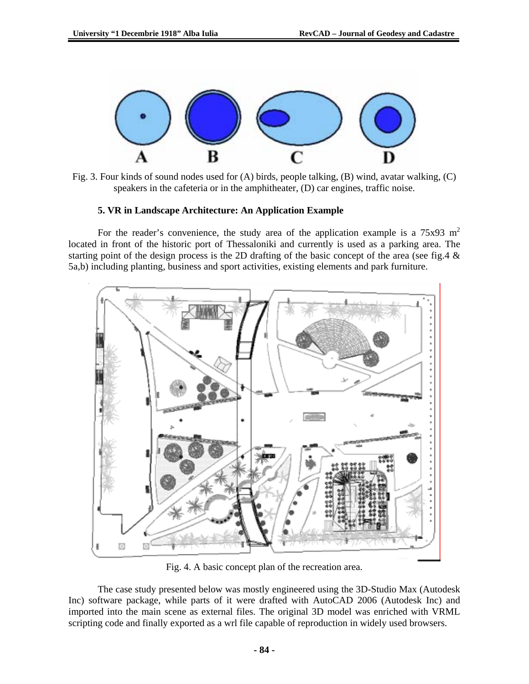

Fig. 3. Four kinds of sound nodes used for (A) birds, people talking, (B) wind, avatar walking, (C) speakers in the cafeteria or in the amphitheater, (D) car engines, traffic noise.

#### **5. VR in Landscape Architecture: An Application Example**

For the reader's convenience, the study area of the application example is a  $75x93 \text{ m}^2$ located in front of the historic port of Thessaloniki and currently is used as a parking area. The starting point of the design process is the 2D drafting of the basic concept of the area (see fig.4 & 5a,b) including planting, business and sport activities, existing elements and park furniture.



Fig. 4. A basic concept plan of the recreation area.

The case study presented below was mostly engineered using the 3D-Studio Max (Autodesk Inc) software package, while parts of it were drafted with AutoCAD 2006 (Autodesk Inc) and imported into the main scene as external files. The original 3D model was enriched with VRML scripting code and finally exported as a wrl file capable of reproduction in widely used browsers.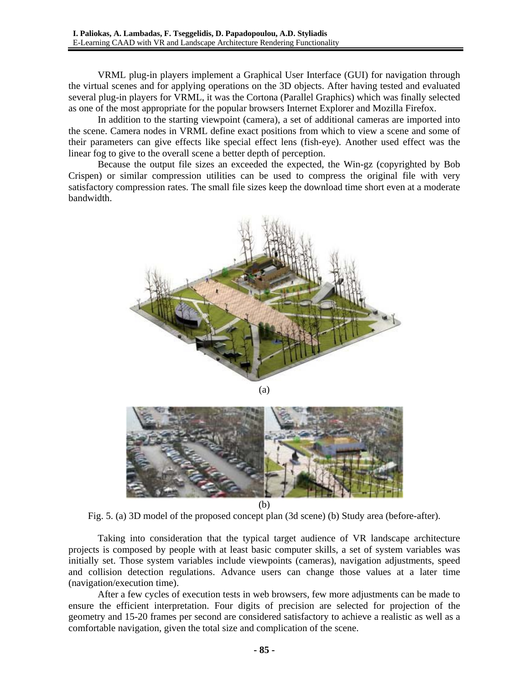VRML plug-in players implement a Graphical User Interface (GUI) for navigation through the virtual scenes and for applying operations on the 3D objects. After having tested and evaluated several plug-in players for VRML, it was the Cortona (Parallel Graphics) which was finally selected as one of the most appropriate for the popular browsers Internet Explorer and Mozilla Firefox.

In addition to the starting viewpoint (camera), a set of additional cameras are imported into the scene. Camera nodes in VRML define exact positions from which to view a scene and some of their parameters can give effects like special effect lens (fish-eye). Another used effect was the linear fog to give to the overall scene a better depth of perception.

Because the output file sizes an exceeded the expected, the Win-gz (copyrighted by Bob Crispen) or similar compression utilities can be used to compress the original file with very satisfactory compression rates. The small file sizes keep the download time short even at a moderate bandwidth.





(b)

Fig. 5. (a) 3D model of the proposed concept plan (3d scene) (b) Study area (before-after).

Taking into consideration that the typical target audience of VR landscape architecture projects is composed by people with at least basic computer skills, a set of system variables was initially set. Those system variables include viewpoints (cameras), navigation adjustments, speed and collision detection regulations. Advance users can change those values at a later time (navigation/execution time).

After a few cycles of execution tests in web browsers, few more adjustments can be made to ensure the efficient interpretation. Four digits of precision are selected for projection of the geometry and 15-20 frames per second are considered satisfactory to achieve a realistic as well as a comfortable navigation, given the total size and complication of the scene.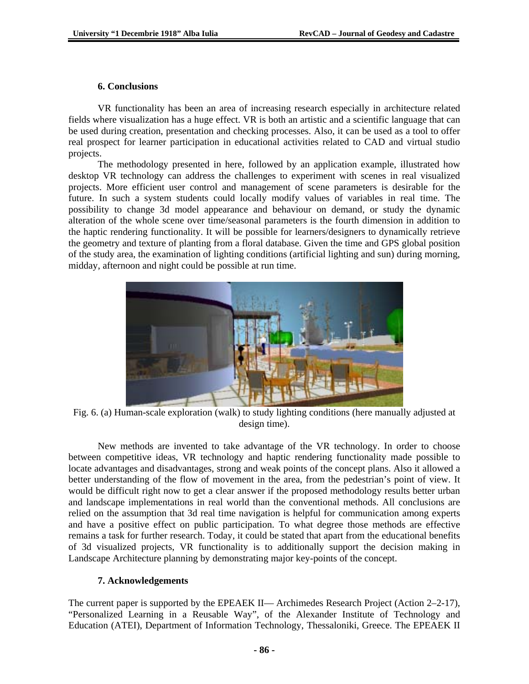#### **6. Conclusions**

VR functionality has been an area of increasing research especially in architecture related fields where visualization has a huge effect. VR is both an artistic and a scientific language that can be used during creation, presentation and checking processes. Also, it can be used as a tool to offer real prospect for learner participation in educational activities related to CAD and virtual studio projects.

The methodology presented in here, followed by an application example, illustrated how desktop VR technology can address the challenges to experiment with scenes in real visualized projects. More efficient user control and management of scene parameters is desirable for the future. In such a system students could locally modify values of variables in real time. The possibility to change 3d model appearance and behaviour on demand, or study the dynamic alteration of the whole scene over time/seasonal parameters is the fourth dimension in addition to the haptic rendering functionality. It will be possible for learners/designers to dynamically retrieve the geometry and texture of planting from a floral database. Given the time and GPS global position of the study area, the examination of lighting conditions (artificial lighting and sun) during morning, midday, afternoon and night could be possible at run time.



Fig. 6. (a) Human-scale exploration (walk) to study lighting conditions (here manually adjusted at design time).

New methods are invented to take advantage of the VR technology. In order to choose between competitive ideas, VR technology and haptic rendering functionality made possible to locate advantages and disadvantages, strong and weak points of the concept plans. Also it allowed a better understanding of the flow of movement in the area, from the pedestrian's point of view. It would be difficult right now to get a clear answer if the proposed methodology results better urban and landscape implementations in real world than the conventional methods. All conclusions are relied on the assumption that 3d real time navigation is helpful for communication among experts and have a positive effect on public participation. To what degree those methods are effective remains a task for further research. Today, it could be stated that apart from the educational benefits of 3d visualized projects, VR functionality is to additionally support the decision making in Landscape Architecture planning by demonstrating major key-points of the concept.

### **7. Acknowledgements**

The current paper is supported by the EPEAEK II— Archimedes Research Project (Action 2–2-17), "Personalized Learning in a Reusable Way", of the Alexander Institute of Technology and Education (ATEI), Department of Information Technology, Thessaloniki, Greece. The EPEAEK II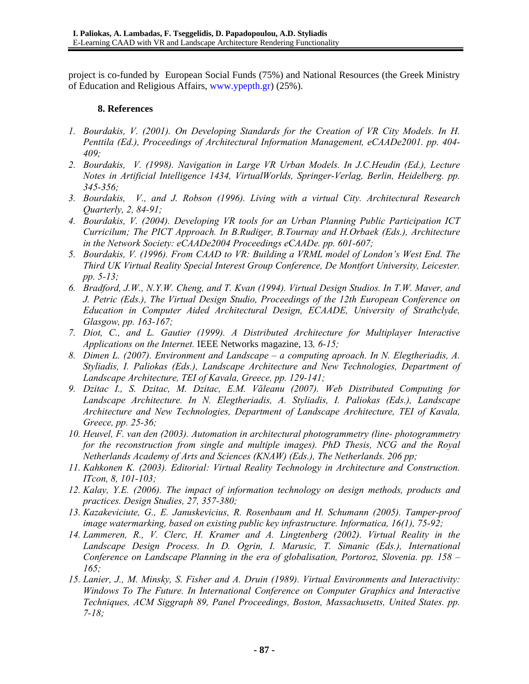project is co-funded by European Social Funds (75%) and National Resources (the Greek Ministry of Education and Religious Affairs, www.ypepth.gr) (25%).

#### **8. References**

- *1. Bourdakis, V. (2001). On Developing Standards for the Creation of VR City Models. In H. Penttila (Ed.), Proceedings of Architectural Information Management, eCAADe2001. pp. 404- 409;*
- *2. Bourdakis, V. (1998). Navigation in Large VR Urban Models. In J.C.Heudin (Ed.), Lecture Notes in Artificial Intelligence 1434, VirtualWorlds, Springer-Verlag, Berlin, Heidelberg. pp. 345-356;*
- *3. Bourdakis, V., and J. Robson (1996). Living with a virtual City. Architectural Research Quarterly, 2, 84-91;*
- *4. Bourdakis, V. (2004). Developing VR tools for an Urban Planning Public Participation ICT Curricilum; The PICT Approach. In B.Rudiger, B.Tournay and H.Orbaek (Eds.), Architecture in the Network Society: eCAADe2004 Proceedings eCAADe. pp. 601-607;*
- *5. Bourdakis, V. (1996). From CAAD to VR: Building a VRML model of London's West End. The Third UK Virtual Reality Special Interest Group Conference, De Montfort University, Leicester. pp. 5-13;*
- *6. Bradford, J.W., N.Y.W. Cheng, and T. Kvan (1994). Virtual Design Studios. In T.W. Maver, and J. Petric (Eds.), The Virtual Design Studio, Proceedings of the 12th European Conference on Education in Computer Aided Architectural Design, ECAADE, University of Strathclyde, Glasgow, pp. 163-167;*
- *7. Diot, C., and L. Gautier (1999). A Distributed Architecture for Multiplayer Interactive Applications on the Internet.* IEEE Networks magazine, 13*, 6-15;*
- *8. Dimen L. (2007). Environment and Landscape a computing aproach. In N. Elegtheriadis, A. Styliadis, I. Paliokas (Eds.), Landscape Architecture and New Technologies, Department of Landscape Architecture, TEI of Kavala, Greece, pp. 129-141;*
- *9. Dzitac I., S. Dzitac, M. Dzitac, E.M. Văleanu (2007). Web Distributed Computing for Landscape Architecture. In N. Elegtheriadis, A. Styliadis, I. Paliokas (Eds.), Landscape Architecture and New Technologies, Department of Landscape Architecture, TEI of Kavala, Greece, pp. 25-36;*
- *10. Heuvel, F. van den (2003). Automation in architectural photogrammetry (line- photogrammetry for the reconstruction from single and multiple images). PhD Thesis, NCG and the Royal Netherlands Academy of Arts and Sciences (KNAW) (Eds.), The Netherlands. 206 pp;*
- *11. Kahkonen K. (2003). Editorial: Virtual Reality Technology in Architecture and Construction. ITcon, 8, 101-103;*
- *12. Kalay, Y.E. (2006). The impact of information technology on design methods, products and practices. Design Studies, 27, 357-380;*
- *13. Kazakeviciute, G., E. Januskevicius, R. Rosenbaum and H. Schumann (2005). Tamper-proof image watermarking, based on existing public key infrastructure. Informatica, 16(1), 75-92;*
- *14. Lammeren, R., V. Clerc, H. Kramer and A. Lingtenberg (2002). Virtual Reality in the Landscape Design Process. In D. Ogrin, I. Marusic, T. Simanic (Eds.), International Conference on Landscape Planning in the era of globalisation, Portoroz, Slovenia. pp. 158 – 165;*
- *15. Lanier, J., M. Minsky, S. Fisher and A. Druin (1989). Virtual Environments and Interactivity: Windows To The Future. In International Conference on Computer Graphics and Interactive Techniques, ACM Siggraph 89, Panel Proceedings, Boston, Massachusetts, United States. pp. 7-18;*